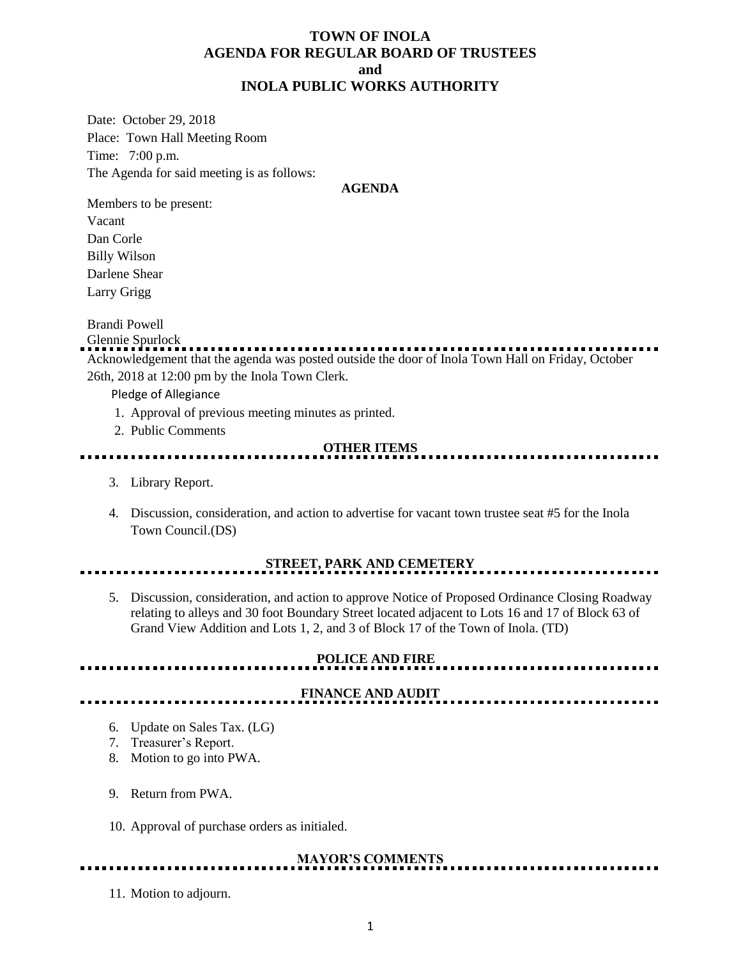### **TOWN OF INOLA AGENDA FOR REGULAR BOARD OF TRUSTEES and INOLA PUBLIC WORKS AUTHORITY**

Date: October 29, 2018 Place: Town Hall Meeting Room Time: 7:00 p.m. The Agenda for said meeting is as follows:

#### **AGENDA**

Members to be present: Vacant Dan Corle Billy Wilson Darlene Shear Larry Grigg

Brandi Powell

Glennie Spurlock

Acknowledgement that the agenda was posted outside the door of Inola Town Hall on Friday, October 26th, 2018 at 12:00 pm by the Inola Town Clerk.

Pledge of Allegiance

- 1. Approval of previous meeting minutes as printed.
- 2. Public Comments

#### **OTHER ITEMS**

- 3. Library Report.
- 4. Discussion, consideration, and action to advertise for vacant town trustee seat #5 for the Inola Town Council.(DS)

# **STREET, PARK AND CEMETERY**

5. Discussion, consideration, and action to approve Notice of Proposed Ordinance Closing Roadway relating to alleys and 30 foot Boundary Street located adjacent to Lots 16 and 17 of Block 63 of Grand View Addition and Lots 1, 2, and 3 of Block 17 of the Town of Inola. (TD)

# **POLICE AND FIRE**

## **FINANCE AND AUDIT**

- 6. Update on Sales Tax. (LG)
- 7. Treasurer's Report.
- 8. Motion to go into PWA.
- 9. Return from PWA.
- 10. Approval of purchase orders as initialed.

# **MAYOR'S COMMENTS**

11. Motion to adjourn.